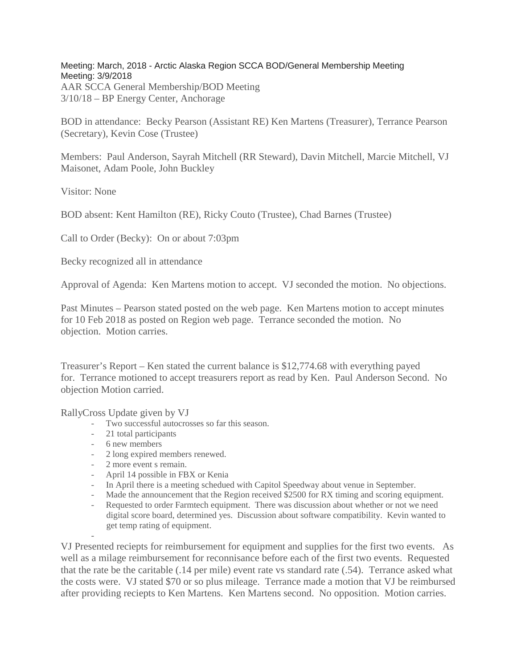Meeting: March, 2018 - Arctic Alaska Region SCCA BOD/General Membership Meeting Meeting: 3/9/2018 AAR SCCA General Membership/BOD Meeting 3/10/18 – BP Energy Center, Anchorage

BOD in attendance: Becky Pearson (Assistant RE) Ken Martens (Treasurer), Terrance Pearson (Secretary), Kevin Cose (Trustee)

Members: Paul Anderson, Sayrah Mitchell (RR Steward), Davin Mitchell, Marcie Mitchell, VJ Maisonet, Adam Poole, John Buckley

Visitor: None

BOD absent: Kent Hamilton (RE), Ricky Couto (Trustee), Chad Barnes (Trustee)

Call to Order (Becky): On or about 7:03pm

Becky recognized all in attendance

Approval of Agenda: Ken Martens motion to accept. VJ seconded the motion. No objections.

Past Minutes – Pearson stated posted on the web page. Ken Martens motion to accept minutes for 10 Feb 2018 as posted on Region web page. Terrance seconded the motion. No objection. Motion carries.

Treasurer's Report – Ken stated the current balance is \$12,774.68 with everything payed for. Terrance motioned to accept treasurers report as read by Ken. Paul Anderson Second. No objection Motion carried.

RallyCross Update given by VJ

- Two successful autocrosses so far this season.
- 21 total participants
- 6 new members

-

- 2 long expired members renewed.
- 2 more event s remain.
- April 14 possible in FBX or Kenia
- In April there is a meeting schedued with Capitol Speedway about venue in September.
- Made the announcement that the Region received \$2500 for RX timing and scoring equipment.
- Requested to order Farmtech equipment. There was discussion about whether or not we need digital score board, determined yes. Discussion about software compatibility. Kevin wanted to get temp rating of equipment.

VJ Presented reciepts for reimbursement for equipment and supplies for the first two events. As well as a milage reimbursement for reconnisance before each of the first two events. Requested that the rate be the caritable (.14 per mile) event rate vs standard rate (.54). Terrance asked what the costs were. VJ stated \$70 or so plus mileage. Terrance made a motion that VJ be reimbursed after providing reciepts to Ken Martens. Ken Martens second. No opposition. Motion carries.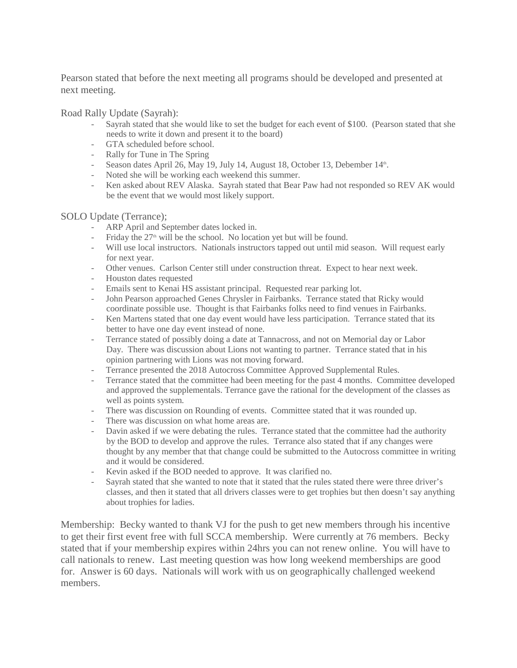Pearson stated that before the next meeting all programs should be developed and presented at next meeting.

Road Rally Update (Sayrah):

- Sayrah stated that she would like to set the budget for each event of \$100. (Pearson stated that she needs to write it down and present it to the board)
- GTA scheduled before school.
- Rally for Tune in The Spring
- Season dates April 26, May 19, July 14, August 18, October 13, Debember 14<sup>th</sup>.
- Noted she will be working each weekend this summer.
- Ken asked about REV Alaska. Sayrah stated that Bear Paw had not responded so REV AK would be the event that we would most likely support.

## SOLO Update (Terrance);

- ARP April and September dates locked in.
- Friday the  $27<sup>th</sup>$  will be the school. No location yet but will be found.
- Will use local instructors. Nationals instructors tapped out until mid season. Will request early for next year.
- Other venues. Carlson Center still under construction threat. Expect to hear next week.
- Houston dates requested
- Emails sent to Kenai HS assistant principal. Requested rear parking lot.
- John Pearson approached Genes Chrysler in Fairbanks. Terrance stated that Ricky would coordinate possible use. Thought is that Fairbanks folks need to find venues in Fairbanks.
- Ken Martens stated that one day event would have less participation. Terrance stated that its better to have one day event instead of none.
- Terrance stated of possibly doing a date at Tannacross, and not on Memorial day or Labor Day. There was discussion about Lions not wanting to partner. Terrance stated that in his opinion partnering with Lions was not moving forward.
- Terrance presented the 2018 Autocross Committee Approved Supplemental Rules.
- Terrance stated that the committee had been meeting for the past 4 months. Committee developed and approved the supplementals. Terrance gave the rational for the development of the classes as well as points system.
- There was discussion on Rounding of events. Committee stated that it was rounded up.
- There was discussion on what home areas are.
- Davin asked if we were debating the rules. Terrance stated that the committee had the authority by the BOD to develop and approve the rules. Terrance also stated that if any changes were thought by any member that that change could be submitted to the Autocross committee in writing and it would be considered.
- Kevin asked if the BOD needed to approve. It was clarified no.
- Sayrah stated that she wanted to note that it stated that the rules stated there were three driver's classes, and then it stated that all drivers classes were to get trophies but then doesn't say anything about trophies for ladies.

Membership: Becky wanted to thank VJ for the push to get new members through his incentive to get their first event free with full SCCA membership. Were currently at 76 members. Becky stated that if your membership expires within 24hrs you can not renew online. You will have to call nationals to renew. Last meeting question was how long weekend memberships are good for. Answer is 60 days. Nationals will work with us on geographically challenged weekend members.